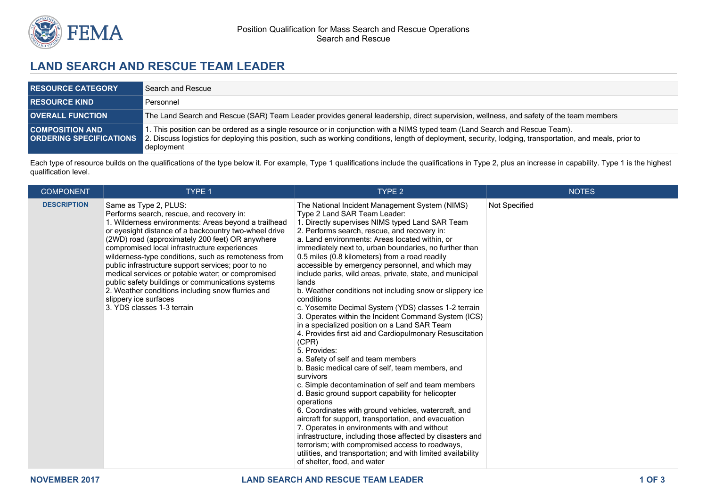

## **LAND SEARCH AND RESCUE TEAM LEADER**

| <b>RESOURCE CATEGORY</b> | Search and Rescue                                                                                                                                                                                                                                                                                                                       |
|--------------------------|-----------------------------------------------------------------------------------------------------------------------------------------------------------------------------------------------------------------------------------------------------------------------------------------------------------------------------------------|
| <b>RESOURCE KIND</b>     | Personnel                                                                                                                                                                                                                                                                                                                               |
| <b>OVERALL FUNCTION</b>  | The Land Search and Rescue (SAR) Team Leader provides general leadership, direct supervision, wellness, and safety of the team members                                                                                                                                                                                                  |
| <b>COMPOSITION AND</b>   | 1. This position can be ordered as a single resource or in conjunction with a NIMS typed team (Land Search and Rescue Team).<br><b>ORDERING SPECIFICATIONS</b> 2. Discuss logistics for deploying this position, such as working conditions, length of deployment, security, lodging, transportation, and meals, prior to<br>deployment |

Each type of resource builds on the qualifications of the type below it. For example, Type 1 qualifications include the qualifications in Type 2, plus an increase in capability. Type 1 is the highest qualification level.

| <b>COMPONENT</b>   | TYPE 1                                                                                                                                                                                                                                                                                                                                                                                                                                                                                                                                                                                                                    | TYPE <sub>2</sub>                                                                                                                                                                                                                                                                                                                                                                                                                                                                                                                                                                                                                                                                                                                                                                                                                                                                                                                                                                                                                                                                                                                                                                                                                                                                                                                                                                                                     | <b>NOTES</b>  |
|--------------------|---------------------------------------------------------------------------------------------------------------------------------------------------------------------------------------------------------------------------------------------------------------------------------------------------------------------------------------------------------------------------------------------------------------------------------------------------------------------------------------------------------------------------------------------------------------------------------------------------------------------------|-----------------------------------------------------------------------------------------------------------------------------------------------------------------------------------------------------------------------------------------------------------------------------------------------------------------------------------------------------------------------------------------------------------------------------------------------------------------------------------------------------------------------------------------------------------------------------------------------------------------------------------------------------------------------------------------------------------------------------------------------------------------------------------------------------------------------------------------------------------------------------------------------------------------------------------------------------------------------------------------------------------------------------------------------------------------------------------------------------------------------------------------------------------------------------------------------------------------------------------------------------------------------------------------------------------------------------------------------------------------------------------------------------------------------|---------------|
| <b>DESCRIPTION</b> | Same as Type 2, PLUS:<br>Performs search, rescue, and recovery in:<br>1. Wilderness environments: Areas beyond a trailhead<br>or eyesight distance of a backcountry two-wheel drive<br>(2WD) road (approximately 200 feet) OR anywhere<br>compromised local infrastructure experiences<br>wilderness-type conditions, such as remoteness from<br>public infrastructure support services; poor to no<br>medical services or potable water; or compromised<br>public safety buildings or communications systems<br>2. Weather conditions including snow flurries and<br>slippery ice surfaces<br>3. YDS classes 1-3 terrain | The National Incident Management System (NIMS)<br>Type 2 Land SAR Team Leader:<br>1. Directly supervises NIMS typed Land SAR Team<br>2. Performs search, rescue, and recovery in:<br>a. Land environments: Areas located within, or<br>immediately next to, urban boundaries, no further than<br>0.5 miles (0.8 kilometers) from a road readily<br>accessible by emergency personnel, and which may<br>include parks, wild areas, private, state, and municipal<br>lands<br>b. Weather conditions not including snow or slippery ice<br>conditions<br>c. Yosemite Decimal System (YDS) classes 1-2 terrain<br>3. Operates within the Incident Command System (ICS)<br>in a specialized position on a Land SAR Team<br>4. Provides first aid and Cardiopulmonary Resuscitation<br>(CPR)<br>5. Provides:<br>a. Safety of self and team members<br>b. Basic medical care of self, team members, and<br>survivors<br>c. Simple decontamination of self and team members<br>d. Basic ground support capability for helicopter<br>operations<br>6. Coordinates with ground vehicles, watercraft, and<br>aircraft for support, transportation, and evacuation<br>7. Operates in environments with and without<br>infrastructure, including those affected by disasters and<br>terrorism; with compromised access to roadways,<br>utilities, and transportation; and with limited availability<br>of shelter, food, and water | Not Specified |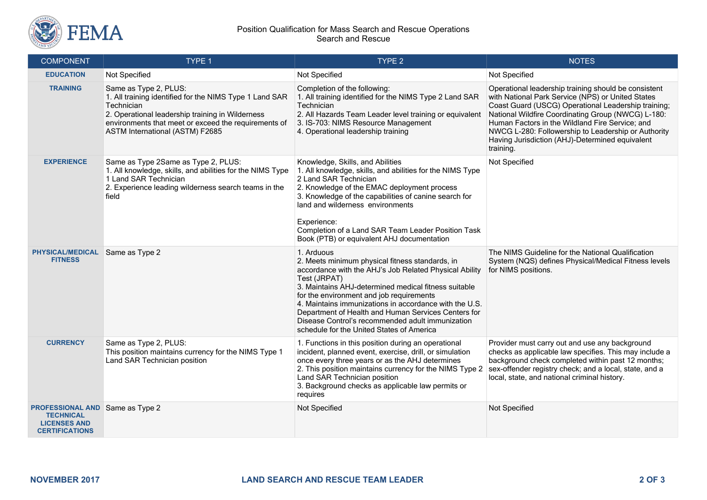

## Position Qualification for Mass Search and Rescue Operations Search and Rescue

| <b>COMPONENT</b>                                                                                           | TYPE 1                                                                                                                                                                                                                                        | TYPE 2                                                                                                                                                                                                                                                                                                                                                                                                                                                        | <b>NOTES</b>                                                                                                                                                                                                                                                                                                                                                                                     |
|------------------------------------------------------------------------------------------------------------|-----------------------------------------------------------------------------------------------------------------------------------------------------------------------------------------------------------------------------------------------|---------------------------------------------------------------------------------------------------------------------------------------------------------------------------------------------------------------------------------------------------------------------------------------------------------------------------------------------------------------------------------------------------------------------------------------------------------------|--------------------------------------------------------------------------------------------------------------------------------------------------------------------------------------------------------------------------------------------------------------------------------------------------------------------------------------------------------------------------------------------------|
| <b>EDUCATION</b>                                                                                           | Not Specified                                                                                                                                                                                                                                 | Not Specified                                                                                                                                                                                                                                                                                                                                                                                                                                                 | Not Specified                                                                                                                                                                                                                                                                                                                                                                                    |
| <b>TRAINING</b>                                                                                            | Same as Type 2, PLUS:<br>1. All training identified for the NIMS Type 1 Land SAR<br>Technician<br>2. Operational leadership training in Wilderness<br>environments that meet or exceed the requirements of<br>ASTM International (ASTM) F2685 | Completion of the following:<br>1. All training identified for the NIMS Type 2 Land SAR<br>Technician<br>2. All Hazards Team Leader level training or equivalent<br>3. IS-703: NIMS Resource Management<br>4. Operational leadership training                                                                                                                                                                                                                 | Operational leadership training should be consistent<br>with National Park Service (NPS) or United States<br>Coast Guard (USCG) Operational Leadership training;<br>National Wildfire Coordinating Group (NWCG) L-180:<br>Human Factors in the Wildland Fire Service; and<br>NWCG L-280: Followership to Leadership or Authority<br>Having Jurisdiction (AHJ)-Determined equivalent<br>training. |
| <b>EXPERIENCE</b>                                                                                          | Same as Type 2Same as Type 2, PLUS:<br>1. All knowledge, skills, and abilities for the NIMS Type<br>1 Land SAR Technician<br>2. Experience leading wilderness search teams in the<br>field                                                    | Knowledge, Skills, and Abilities<br>1. All knowledge, skills, and abilities for the NIMS Type<br>2 Land SAR Technician<br>2. Knowledge of the EMAC deployment process<br>3. Knowledge of the capabilities of canine search for<br>land and wilderness environments<br>Experience:<br>Completion of a Land SAR Team Leader Position Task<br>Book (PTB) or equivalent AHJ documentation                                                                         | Not Specified                                                                                                                                                                                                                                                                                                                                                                                    |
| <b>PHYSICAL/MEDICAL</b><br><b>FITNESS</b>                                                                  | Same as Type 2                                                                                                                                                                                                                                | 1. Arduous<br>2. Meets minimum physical fitness standards, in<br>accordance with the AHJ's Job Related Physical Ability<br>Test (JRPAT)<br>3. Maintains AHJ-determined medical fitness suitable<br>for the environment and job requirements<br>4. Maintains immunizations in accordance with the U.S.<br>Department of Health and Human Services Centers for<br>Disease Control's recommended adult immunization<br>schedule for the United States of America | The NIMS Guideline for the National Qualification<br>System (NQS) defines Physical/Medical Fitness levels<br>for NIMS positions.                                                                                                                                                                                                                                                                 |
| <b>CURRENCY</b>                                                                                            | Same as Type 2, PLUS:<br>This position maintains currency for the NIMS Type 1<br>Land SAR Technician position                                                                                                                                 | 1. Functions in this position during an operational<br>incident, planned event, exercise, drill, or simulation<br>once every three years or as the AHJ determines<br>2. This position maintains currency for the NIMS Type 2<br>Land SAR Technician position<br>3. Background checks as applicable law permits or<br>requires                                                                                                                                 | Provider must carry out and use any background<br>checks as applicable law specifies. This may include a<br>background check completed within past 12 months;<br>sex-offender registry check; and a local, state, and a<br>local, state, and national criminal history.                                                                                                                          |
| <b>PROFESSIONAL AND Same as Type 2</b><br><b>TECHNICAL</b><br><b>LICENSES AND</b><br><b>CERTIFICATIONS</b> |                                                                                                                                                                                                                                               | Not Specified                                                                                                                                                                                                                                                                                                                                                                                                                                                 | Not Specified                                                                                                                                                                                                                                                                                                                                                                                    |